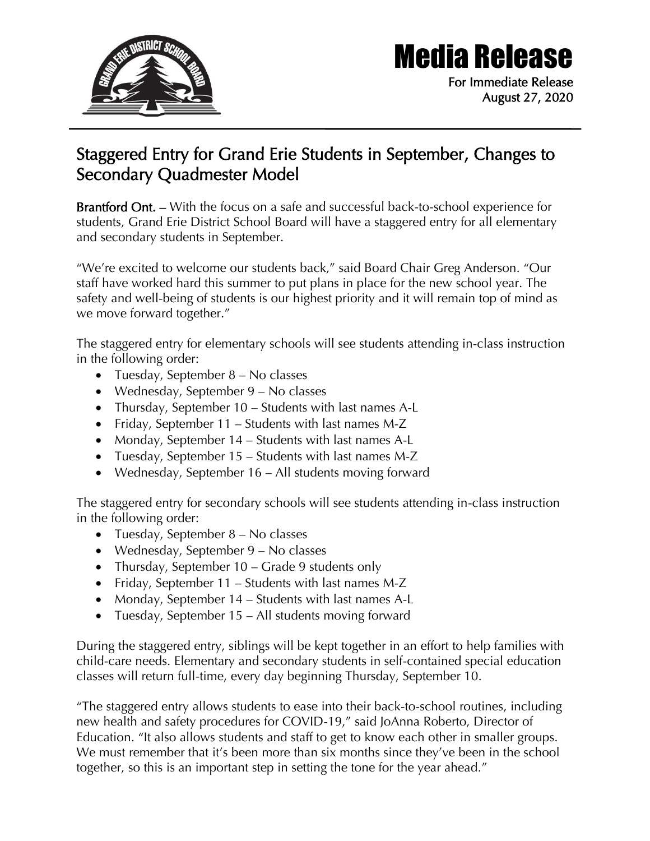

## Media Release

For Immediate Release August 27, 2020

## Staggered Entry for Grand Erie Students in September, Changes to Secondary Quadmester Model

Brantford Ont. – With the focus on a safe and successful back-to-school experience for students, Grand Erie District School Board will have a staggered entry for all elementary and secondary students in September.

"We're excited to welcome our students back," said Board Chair Greg Anderson. "Our staff have worked hard this summer to put plans in place for the new school year. The safety and well-being of students is our highest priority and it will remain top of mind as we move forward together."

The staggered entry for elementary schools will see students attending in-class instruction in the following order:

- Tuesday, September 8 No classes
- Wednesday, September 9 No classes
- Thursday, September 10 Students with last names A-L
- Friday, September 11 Students with last names M-Z
- Monday, September 14 Students with last names A-L
- Tuesday, September 15 Students with last names M-Z
- Wednesday, September 16 All students moving forward

The staggered entry for secondary schools will see students attending in-class instruction in the following order:

- Tuesday, September 8 No classes
- Wednesday, September 9 No classes
- Thursday, September 10 Grade 9 students only
- Friday, September 11 Students with last names M-Z
- Monday, September 14 Students with last names A-L
- Tuesday, September 15 All students moving forward

During the staggered entry, siblings will be kept together in an effort to help families with child-care needs. Elementary and secondary students in self-contained special education classes will return full-time, every day beginning Thursday, September 10.

"The staggered entry allows students to ease into their back-to-school routines, including new health and safety procedures for COVID-19," said JoAnna Roberto, Director of Education. "It also allows students and staff to get to know each other in smaller groups. We must remember that it's been more than six months since they've been in the school together, so this is an important step in setting the tone for the year ahead."